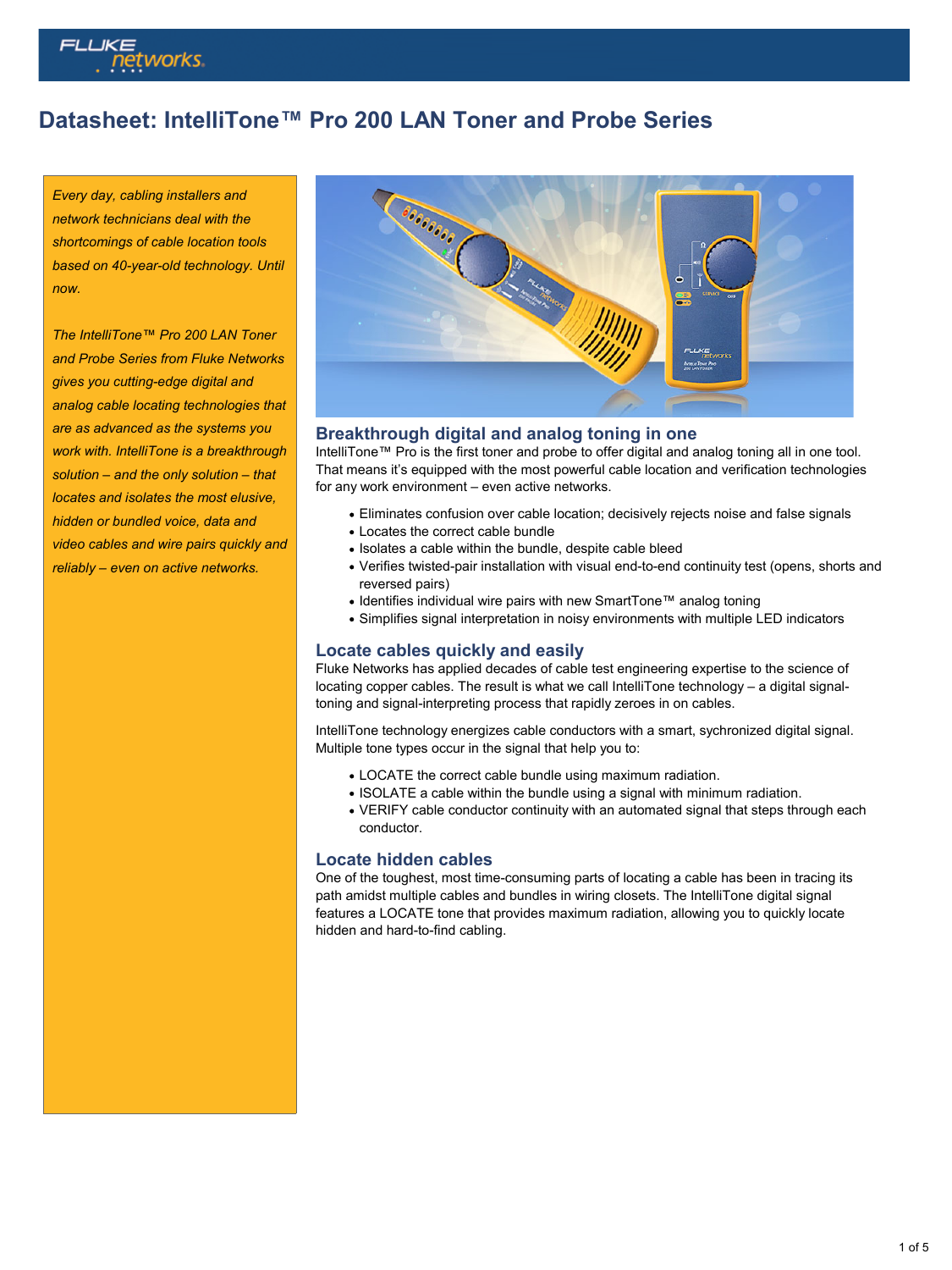

## **Datasheet: IntelliTone™ Pro 200 LAN Toner and Probe Series**

*Every day, cabling installers and network technicians deal with the shortcomings of cable location tools based on 40-year-old technology. Until now.*

*The IntelliTone™ Pro 200 LAN Toner and Probe Series from Fluke Networks gives you cutting-edge digital and analog cable locating technologies that are as advanced as the systems you work with. IntelliTone is a breakthrough solution – and the only solution – that locates and isolates the most elusive, hidden or bundled voice, data and video cables and wire pairs quickly and reliably – even on active networks.*



#### **Breakthrough digital and analog toning in one**

IntelliTone™ Pro is the first toner and probe to offer digital and analog toning all in one tool. That means it's equipped with the most powerful cable location and verification technologies for any work environment – even active networks.

- Eliminates confusion over cable location; decisively rejects noise and false signals
- Locates the correct cable bundle
- Isolates a cable within the bundle, despite cable bleed
- Verifies twisted-pair installation with visual end-to-end continuity test (opens, shorts and reversed pairs)
- Identifies individual wire pairs with new SmartTone™ analog toning
- Simplifies signal interpretation in noisy environments with multiple LED indicators

#### **Locate cables quickly and easily**

Fluke Networks has applied decades of cable test engineering expertise to the science of locating copper cables. The result is what we call IntelliTone technology – a digital signaltoning and signal-interpreting process that rapidly zeroes in on cables.

IntelliTone technology energizes cable conductors with a smart, sychronized digital signal. Multiple tone types occur in the signal that help you to:

- LOCATE the correct cable bundle using maximum radiation.
- ISOLATE a cable within the bundle using a signal with minimum radiation.
- VERIFY cable conductor continuity with an automated signal that steps through each conductor.

#### **Locate hidden cables**

One of the toughest, most time-consuming parts of locating a cable has been in tracing its path amidst multiple cables and bundles in wiring closets. The IntelliTone digital signal features a LOCATE tone that provides maximum radiation, allowing you to quickly locate hidden and hard-to-find cabling.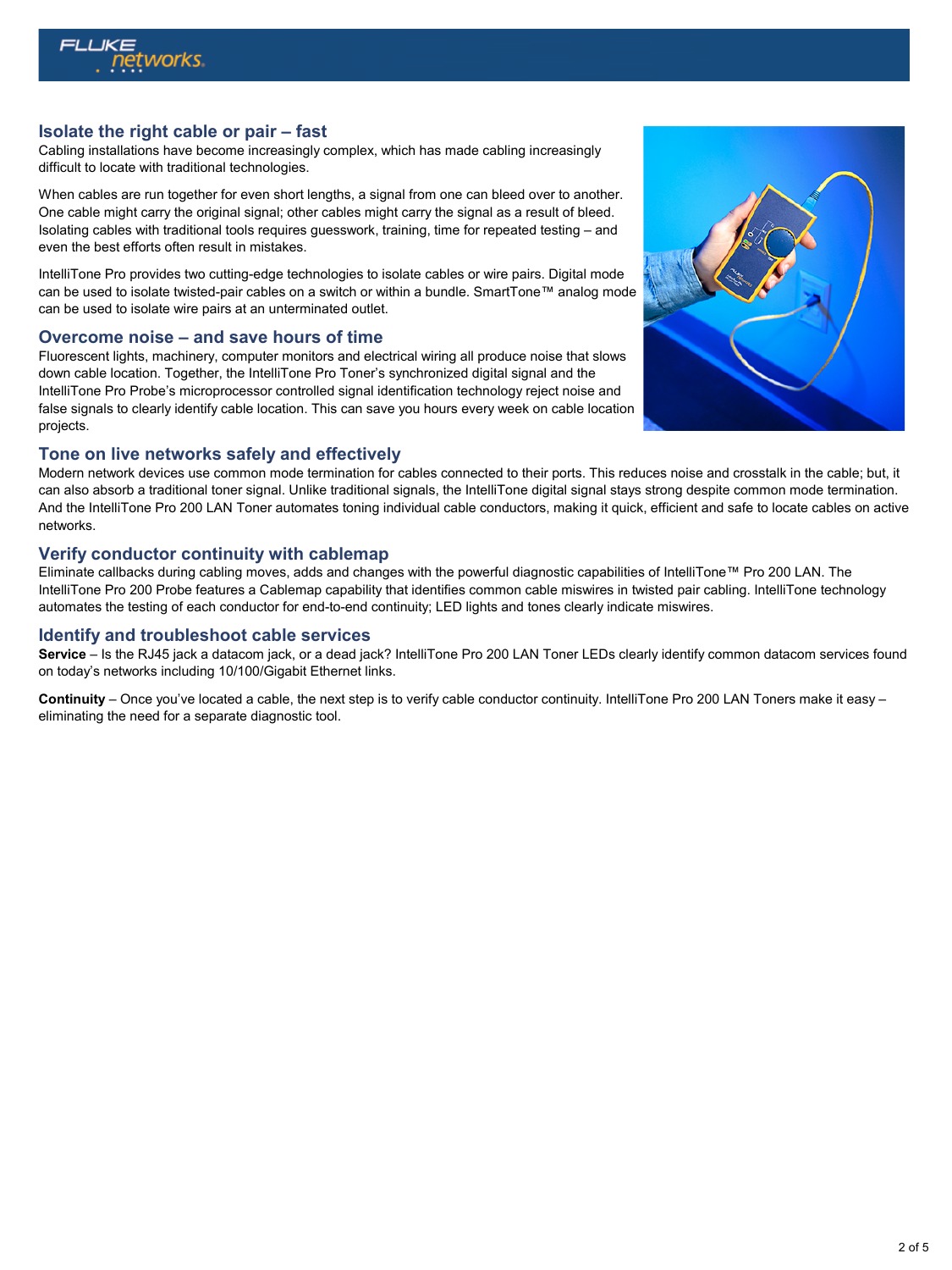

## **Isolate the right cable or pair – fast**

Cabling installations have become increasingly complex, which has made cabling increasingly difficult to locate with traditional technologies.

When cables are run together for even short lengths, a signal from one can bleed over to another. One cable might carry the original signal; other cables might carry the signal as a result of bleed. Isolating cables with traditional tools requires guesswork, training, time for repeated testing – and even the best efforts often result in mistakes.

IntelliTone Pro provides two cutting-edge technologies to isolate cables or wire pairs. Digital mode can be used to isolate twisted-pair cables on a switch or within a bundle. SmartTone™ analog mode can be used to isolate wire pairs at an unterminated outlet.

## **Overcome noise – and save hours of time**

Fluorescent lights, machinery, computer monitors and electrical wiring all produce noise that slows down cable location. Together, the IntelliTone Pro Toner's synchronized digital signal and the IntelliTone Pro Probe's microprocessor controlled signal identification technology reject noise and false signals to clearly identify cable location. This can save you hours every week on cable location projects.

## **Tone on live networks safely and effectively**

Modern network devices use common mode termination for cables connected to their ports. This reduces noise and crosstalk in the cable; but, it can also absorb a traditional toner signal. Unlike traditional signals, the IntelliTone digital signal stays strong despite common mode termination. And the IntelliTone Pro 200 LAN Toner automates toning individual cable conductors, making it quick, efficient and safe to locate cables on active networks.

#### **Verify conductor continuity with cablemap**

Eliminate callbacks during cabling moves, adds and changes with the powerful diagnostic capabilities of IntelliTone™ Pro 200 LAN. The IntelliTone Pro 200 Probe features a Cablemap capability that identifies common cable miswires in twisted pair cabling. IntelliTone technology automates the testing of each conductor for end-to-end continuity; LED lights and tones clearly indicate miswires.

#### **Identify and troubleshoot cable services**

**Service** – Is the RJ45 jack a datacom jack, or a dead jack? IntelliTone Pro 200 LAN Toner LEDs clearly identify common datacom services found on today's networks including 10/100/Gigabit Ethernet links.

**Continuity** – Once you've located a cable, the next step is to verify cable conductor continuity. IntelliTone Pro 200 LAN Toners make it easy – eliminating the need for a separate diagnostic tool.

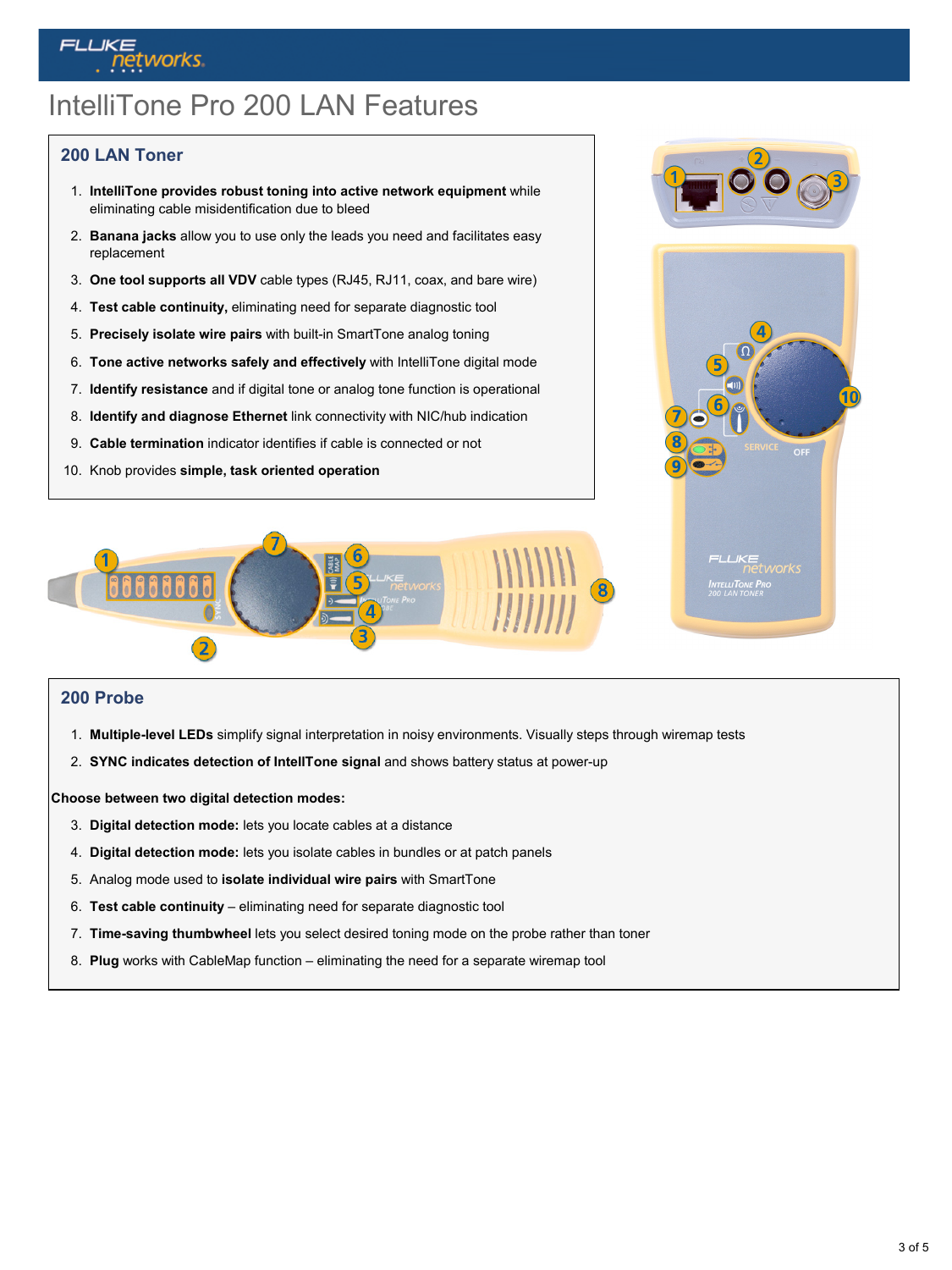# IntelliTone Pro 200 LAN Features

## **200 LAN Toner**

**Tetworks** 

- 1. **IntelliTone provides robust toning into active network equipment** while eliminating cable misidentification due to bleed
- 2. **Banana jacks** allow you to use only the leads you need and facilitates easy replacement
- 3. **One tool supports all VDV** cable types (RJ45, RJ11, coax, and bare wire)
- 4. **Test cable continuity,** eliminating need for separate diagnostic tool
- 5. **Precisely isolate wire pairs** with built-in SmartTone analog toning
- 6. **Tone active networks safely and effectively** with IntelliTone digital mode
- 7. **Identify resistance** and if digital tone or analog tone function is operational
- 8. **Identify and diagnose Ethernet** link connectivity with NIC/hub indication
- 9. **Cable termination** indicator identifies if cable is connected or not
- 10. Knob provides **simple, task oriented operation**





#### **200 Probe**

- 1. **Multiple-level LEDs** simplify signal interpretation in noisy environments. Visually steps through wiremap tests
- 2. **SYNC indicates detection of IntellTone signal** and shows battery status at power-up

**Choose between two digital detection modes:**

- 3. **Digital detection mode:** lets you locate cables at a distance
- 4. **Digital detection mode:** lets you isolate cables in bundles or at patch panels
- 5. Analog mode used to **isolate individual wire pairs** with SmartTone
- 6. **Test cable continuity** eliminating need for separate diagnostic tool
- 7. **Time-saving thumbwheel** lets you select desired toning mode on the probe rather than toner
- 8. **Plug** works with CableMap function eliminating the need for a separate wiremap tool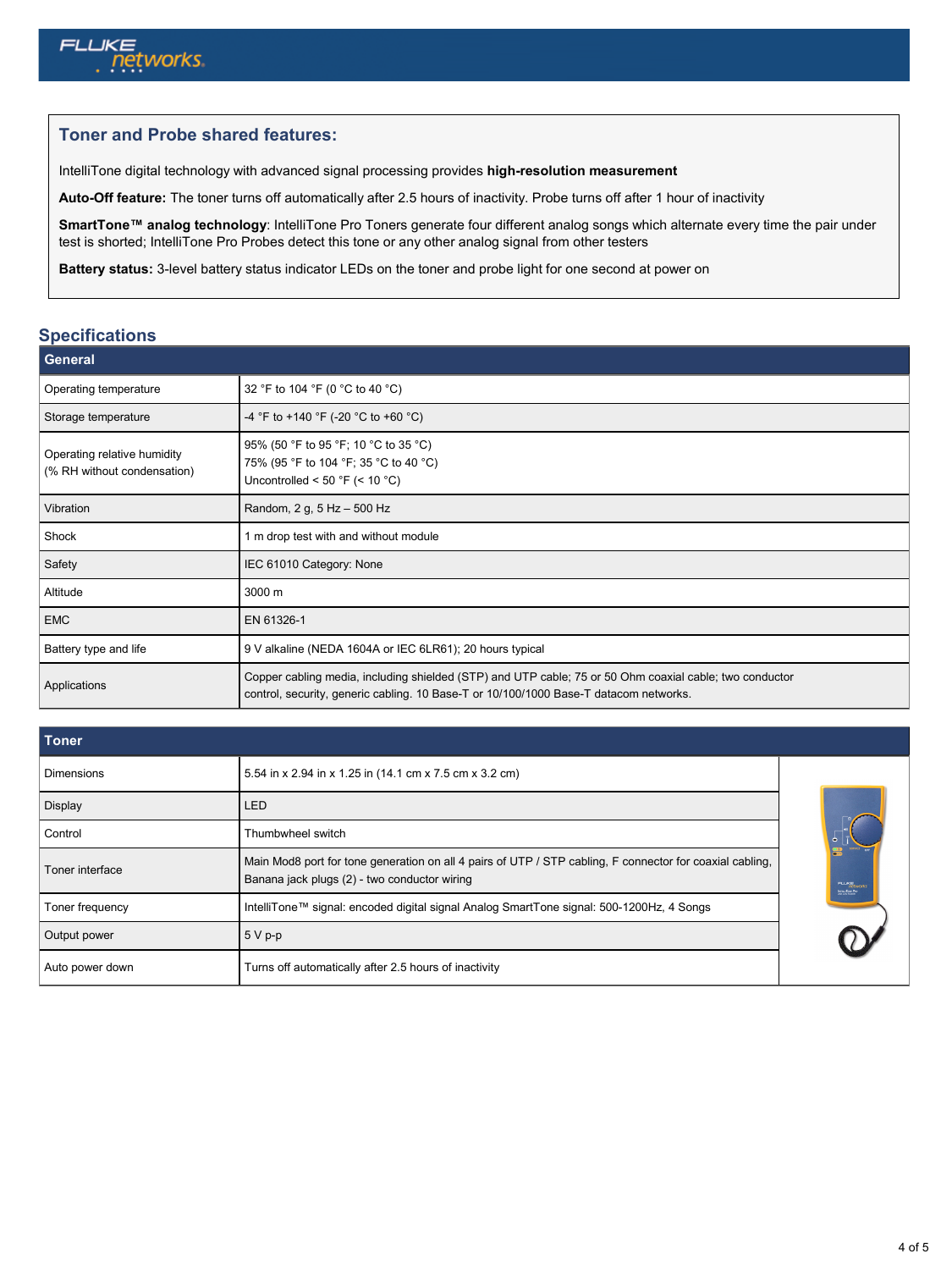

## **Toner and Probe shared features:**

IntelliTone digital technology with advanced signal processing provides **high-resolution measurement**

**Auto-Off feature:** The toner turns off automatically after 2.5 hours of inactivity. Probe turns off after 1 hour of inactivity

**SmartTone™ analog technology**: IntelliTone Pro Toners generate four different analog songs which alternate every time the pair under test is shorted; IntelliTone Pro Probes detect this tone or any other analog signal from other testers

**Battery status:** 3-level battery status indicator LEDs on the toner and probe light for one second at power on

## **Specifications**

| <b>General</b>                                             |                                                                                                                                                                                                  |  |
|------------------------------------------------------------|--------------------------------------------------------------------------------------------------------------------------------------------------------------------------------------------------|--|
| Operating temperature                                      | 32 °F to 104 °F (0 °C to 40 °C)                                                                                                                                                                  |  |
| Storage temperature                                        | -4 °F to +140 °F (-20 °C to +60 °C)                                                                                                                                                              |  |
| Operating relative humidity<br>(% RH without condensation) | 95% (50 °F to 95 °F; 10 °C to 35 °C)<br>75% (95 °F to 104 °F; 35 °C to 40 °C)<br>Uncontrolled < 50 °F (< 10 °C)                                                                                  |  |
| Vibration                                                  | Random, 2 g, 5 Hz - 500 Hz                                                                                                                                                                       |  |
| Shock                                                      | 1 m drop test with and without module                                                                                                                                                            |  |
| Safety                                                     | IEC 61010 Category: None                                                                                                                                                                         |  |
| Altitude                                                   | 3000 m                                                                                                                                                                                           |  |
| <b>EMC</b>                                                 | EN 61326-1                                                                                                                                                                                       |  |
| Battery type and life                                      | 9 V alkaline (NEDA 1604A or IEC 6LR61); 20 hours typical                                                                                                                                         |  |
| Applications                                               | Copper cabling media, including shielded (STP) and UTP cable; 75 or 50 Ohm coaxial cable; two conductor<br>control, security, generic cabling. 10 Base-T or 10/100/1000 Base-T datacom networks. |  |

| Toner             |                                                                                                                                                          |                                                     |
|-------------------|----------------------------------------------------------------------------------------------------------------------------------------------------------|-----------------------------------------------------|
| <b>Dimensions</b> | 5.54 in x 2.94 in x 1.25 in (14.1 cm x 7.5 cm x 3.2 cm)                                                                                                  |                                                     |
| Display           | LED                                                                                                                                                      |                                                     |
| Control           | Thumbwheel switch                                                                                                                                        |                                                     |
| Toner interface   | Main Mod8 port for tone generation on all 4 pairs of UTP / STP cabling, F connector for coaxial cabling,<br>Banana jack plugs (2) - two conductor wiring | <b>FLLKE</b><br>networks<br><b>DUNNA TONE PHOTO</b> |
| Toner frequency   | IntelliTone™ signal: encoded digital signal Analog SmartTone signal: 500-1200Hz, 4 Songs                                                                 |                                                     |
| Output power      | $5Vp-p$                                                                                                                                                  |                                                     |
| Auto power down   | Turns off automatically after 2.5 hours of inactivity                                                                                                    |                                                     |